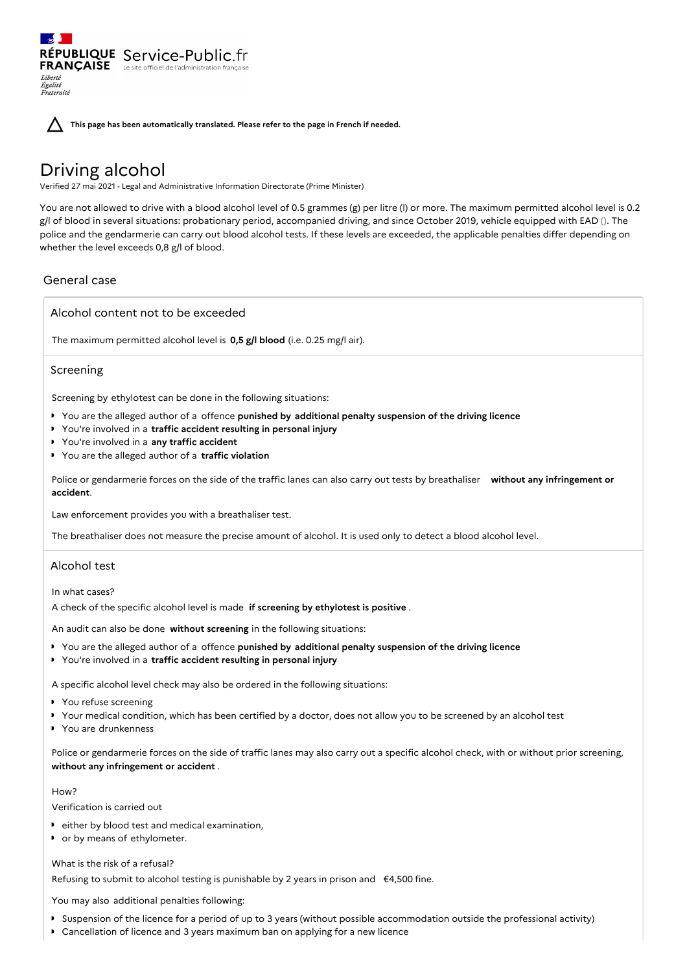RÉPUBLIQUE Service-Public.fr **FRANÇAISE** Le site officiel de l'administration fran Liberté Égalité<br>Fraternité

**This page has been automatically translated. Please refer to the page in French if needed.**

# Driving alcohol

Verified 27 mai 2021 - Legal and Administrative Information Directorate (Prime Minister)

You are not allowed to drive with a blood alcohol level of 0.5 grammes (g) per litre (l) or more. The maximum permitted alcohol level is 0.2 g/l of blood in several situations: probationary period, accompanied driving, and since October 2019, vehicle equipped with EAD (). The police and the gendarmerie can carry out blood alcohol tests. If these levels are exceeded, the applicable penalties differ depending on whether the level exceeds 0,8 g/l of blood.

# General case

Alcohol content not to be exceeded

The maximum permitted alcohol level is **0,5 g/l blood** (i.e. 0.25 mg/l air).

## Screening

Screening by ethylotest can be done in the following situations:

- You are the alleged author of a offence **punished by additional penalty suspension of the driving licence**
- You're involved in a **traffic accident resulting in personal injury**
- You're involved in a **any traffic accident**
- You are the alleged author of a **traffic violation**

Police or gendarmerie forces on the side of the traffic lanes can also carry out tests by breathaliser **without any infringement or accident**.

Law enforcement provides you with a breathaliser test.

The breathaliser does not measure the precise amount of alcohol. It is used only to detect a blood alcohol level.

## Alcohol test

In what cases?

A check of the specific alcohol level is made **if screening by ethylotest is positive** .

An audit can also be done **without screening** in the following situations:

- You are the alleged author of a offence **punished by additional penalty suspension of the driving licence**
- You're involved in a **traffic accident resulting in personal injury**

A specific alcohol level check may also be ordered in the following situations:

- ▶ You refuse screening
- Your medical condition, which has been certified by a doctor, does not allow you to be screened by an alcohol test
- ▶ You are drunkenness

Police or gendarmerie forces on the side of traffic lanes may also carry out a specific alcohol check, with or without prior screening, **without any infringement or accident** .

## How?

Verification is carried out

- either by blood test and medical examination,
- **•** or by means of ethylometer.

#### What is the risk of a refusal?

Refusing to submit to alcohol testing is punishable by 2 years in prison and €4,500 fine.

You may also additional penalties following:

- Suspension of the licence for a period of up to 3 years (without possible accommodation outside the professional activity)
- $\mathbf{r}$ Cancellation of licence and 3 years maximum ban on applying for a new licence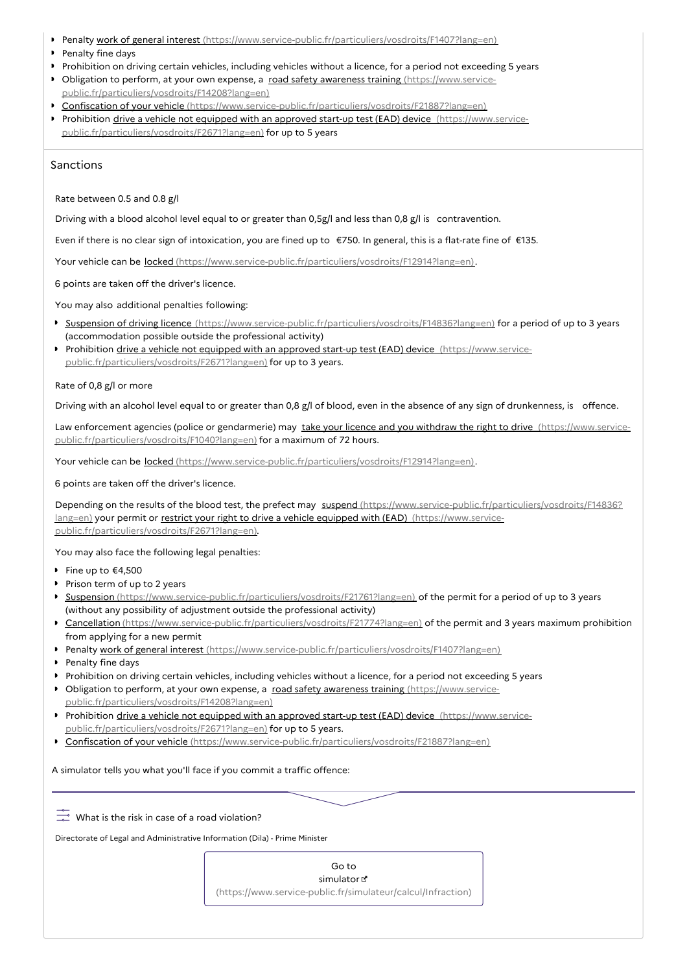- Penalty work of general interest [\(https://www.service-public.fr/particuliers/vosdroits/F1407?lang=en\)](https://www.service-public.fr/particuliers/vosdroits/F1407?lang=en)
- **Penalty fine days**
- Prohibition on driving certain vehicles, including vehicles without a licence, for a period not exceeding 5 years
- Obligation to perform, at your own expense, a road safety awareness training (https://www.service[public.fr/particuliers/vosdroits/F14208?lang=en\)](https://www.service-public.fr/particuliers/vosdroits/F14208?lang=en)
- Confiscation of your vehicle [\(https://www.service-public.fr/particuliers/vosdroits/F21887?lang=en\)](https://www.service-public.fr/particuliers/vosdroits/F21887?lang=en)
- Prohibition drive a vehicle not equipped with an approved start-up test (EAD) device (https://www.service[public.fr/particuliers/vosdroits/F2671?lang=en\)](https://www.service-public.fr/particuliers/vosdroits/F2671?lang=en) for up to 5 years

## Sanctions

Rate between 0.5 and 0.8 g/l

Driving with a blood alcohol level equal to or greater than 0,5g/l and less than 0,8 g/l is contravention.

Even if there is no clear sign of intoxication, you are fined up to €750. In general, this is a flat-rate fine of €135.

Your vehicle can be locked [\(https://www.service-public.fr/particuliers/vosdroits/F12914?lang=en\)](https://www.service-public.fr/particuliers/vosdroits/F12914?lang=en).

6 points are taken off the driver's licence.

You may also additional penalties following:

- Suspension of driving licence [\(https://www.service-public.fr/particuliers/vosdroits/F14836?lang=en\)](https://www.service-public.fr/particuliers/vosdroits/F14836?lang=en) for a period of up to 3 years (accommodation possible outside the professional activity)
- Prohibition drive a vehicle not equipped with an approved start-up test (EAD) device (https://www.service[public.fr/particuliers/vosdroits/F2671?lang=en\)](https://www.service-public.fr/particuliers/vosdroits/F2671?lang=en) for up to 3 years.

#### Rate of 0,8 g/l or more

Driving with an alcohol level equal to or greater than 0,8 g/l of blood, even in the absence of any sign of drunkenness, is offence.

Law enforcement agencies (police or gendarmerie) may take your licence and you withdraw the right to drive (https://www.service[public.fr/particuliers/vosdroits/F1040?lang=en\)](https://www.service-public.fr/particuliers/vosdroits/F1040?lang=en) for a maximum of 72 hours.

Your vehicle can be locked [\(https://www.service-public.fr/particuliers/vosdroits/F12914?lang=en\)](https://www.service-public.fr/particuliers/vosdroits/F12914?lang=en).

6 points are taken off the driver's licence.

Depending on the results of the blood test, the prefect may suspend [\(https://www.service-public.fr/particuliers/vosdroits/F14836?](https://www.service-public.fr/particuliers/vosdroits/F14836?lang=en) lang=en) your permit or restrict your right to drive a vehicle equipped with (EAD) (https://www.service[public.fr/particuliers/vosdroits/F2671?lang=en\).](https://www.service-public.fr/particuliers/vosdroits/F2671?lang=en)

You may also face the following legal penalties:

- Fine up to  $€4.500$
- Prison term of up to 2 years
- Suspension [\(https://www.service-public.fr/particuliers/vosdroits/F21761?lang=en\)](https://www.service-public.fr/particuliers/vosdroits/F21761?lang=en) of the permit for a period of up to 3 years (without any possibility of adjustment outside the professional activity)
- ▶ Cancellation [\(https://www.service-public.fr/particuliers/vosdroits/F21774?lang=en\)](https://www.service-public.fr/particuliers/vosdroits/F21774?lang=en) of the permit and 3 years maximum prohibition from applying for a new permit
- Penalty work of general interest [\(https://www.service-public.fr/particuliers/vosdroits/F1407?lang=en\)](https://www.service-public.fr/particuliers/vosdroits/F1407?lang=en)
- Penalty fine days
- Prohibition on driving certain vehicles, including vehicles without a licence, for a period not exceeding 5 years
- Obligation to perform, at your own expense, a road safety awareness training (https://www.service[public.fr/particuliers/vosdroits/F14208?lang=en\)](https://www.service-public.fr/particuliers/vosdroits/F14208?lang=en)
- Prohibition drive a vehicle not equipped with an approved start-up test (EAD) device (https://www.service[public.fr/particuliers/vosdroits/F2671?lang=en\)](https://www.service-public.fr/particuliers/vosdroits/F2671?lang=en) for up to 5 years.
- Confiscation of your vehicle [\(https://www.service-public.fr/particuliers/vosdroits/F21887?lang=en\)](https://www.service-public.fr/particuliers/vosdroits/F21887?lang=en)

A simulator tells you what you'll face if you commit a traffic offence:

 $\frac{1}{20}$  What is the risk in case of a road violation?

Directorate of Legal and Administrative Information (Dila) - Prime Minister

Go to simulator

[\(https://www.service-public.fr/simulateur/calcul/Infraction\)](https://www.service-public.fr/simulateur/calcul/Infraction)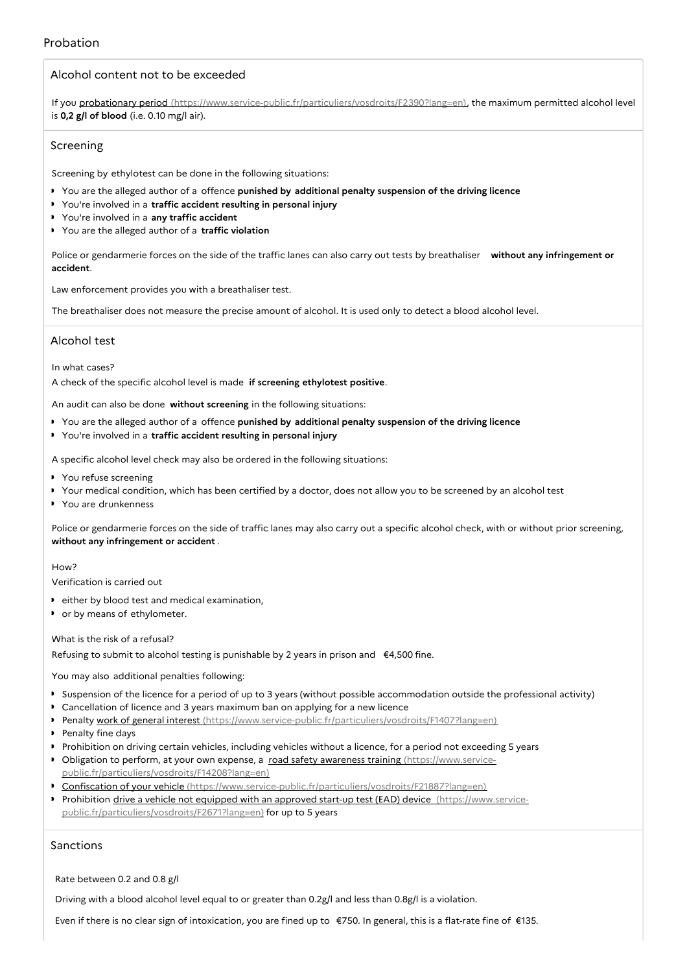# Alcohol content not to be exceeded

If you probationary period [\(https://www.service-public.fr/particuliers/vosdroits/F2390?lang=en\)](https://www.service-public.fr/particuliers/vosdroits/F2390?lang=en), the maximum permitted alcohol level is **0,2 g/l of blood** (i.e. 0.10 mg/l air).

## Screening

Screening by ethylotest can be done in the following situations:

- You are the alleged author of a offence **punished by additional penalty suspension of the driving licence**
- You're involved in a **traffic accident resulting in personal injury**
- You're involved in a **any traffic accident**
- You are the alleged author of a **traffic violation**

Police or gendarmerie forces on the side of the traffic lanes can also carry out tests by breathaliser **without any infringement or accident**.

Law enforcement provides you with a breathaliser test.

The breathaliser does not measure the precise amount of alcohol. It is used only to detect a blood alcohol level.

## Alcohol test

In what cases?

A check of the specific alcohol level is made **if screening ethylotest positive**.

An audit can also be done **without screening** in the following situations:

- You are the alleged author of a offence **punished by additional penalty suspension of the driving licence**
- You're involved in a **traffic accident resulting in personal injury**

A specific alcohol level check may also be ordered in the following situations:

- **P** You refuse screening
- Your medical condition, which has been certified by a doctor, does not allow you to be screened by an alcohol test
- You are drunkenness

Police or gendarmerie forces on the side of traffic lanes may also carry out a specific alcohol check, with or without prior screening, **without any infringement or accident** .

## $H_{OM}$ <sup>2</sup>

Verification is carried out

- either by blood test and medical examination,
- or by means of ethylometer.

## What is the risk of a refusal?

Refusing to submit to alcohol testing is punishable by 2 years in prison and €4,500 fine.

You may also additional penalties following:

- Suspension of the licence for a period of up to 3 years (without possible accommodation outside the professional activity)
- $\ddot{\phantom{a}}$ Cancellation of licence and 3 years maximum ban on applying for a new licence
- Penalty work of general interest [\(https://www.service-public.fr/particuliers/vosdroits/F1407?lang=en\)](https://www.service-public.fr/particuliers/vosdroits/F1407?lang=en)
- Penalty fine days
- Prohibition on driving certain vehicles, including vehicles without a licence, for a period not exceeding 5 years
- Obligation to perform, at your own expense, a road safety awareness training (https://www.service[public.fr/particuliers/vosdroits/F14208?lang=en\)](https://www.service-public.fr/particuliers/vosdroits/F14208?lang=en)
- Confiscation of your vehicle [\(https://www.service-public.fr/particuliers/vosdroits/F21887?lang=en\)](https://www.service-public.fr/particuliers/vosdroits/F21887?lang=en)
- Prohibition drive a vehicle not equipped with an approved start-up test (EAD) device (https://www.service[public.fr/particuliers/vosdroits/F2671?lang=en\)](https://www.service-public.fr/particuliers/vosdroits/F2671?lang=en) for up to 5 years

# Sanctions

Rate between 0.2 and 0.8 g/l

Driving with a blood alcohol level equal to or greater than 0.2g/l and less than 0.8g/l is a violation.

Even if there is no clear sign of intoxication, you are fined up to €750. In general, this is a flat-rate fine of €135.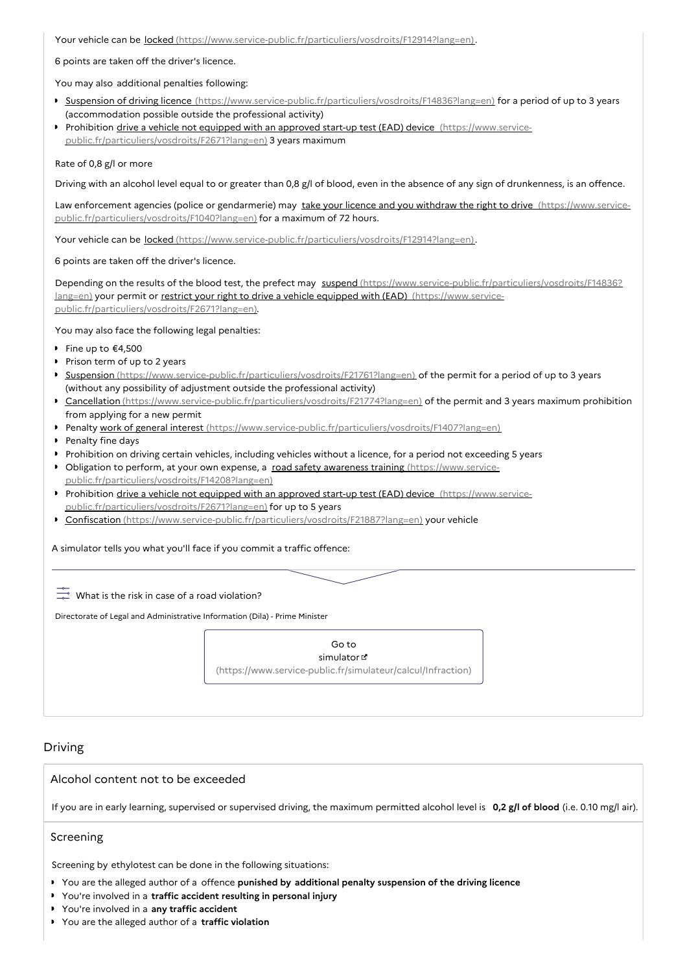Your vehicle can be locked [\(https://www.service-public.fr/particuliers/vosdroits/F12914?lang=en\)](https://www.service-public.fr/particuliers/vosdroits/F12914?lang=en).

6 points are taken off the driver's licence.

You may also additional penalties following:

- Suspension of driving licence [\(https://www.service-public.fr/particuliers/vosdroits/F14836?lang=en\)](https://www.service-public.fr/particuliers/vosdroits/F14836?lang=en) for a period of up to 3 years (accommodation possible outside the professional activity)
- Prohibition drive a vehicle not equipped with an approved start-up test (EAD) device (https://www.service[public.fr/particuliers/vosdroits/F2671?lang=en\)](https://www.service-public.fr/particuliers/vosdroits/F2671?lang=en) 3 years maximum

#### Rate of 0,8 g/l or more

Driving with an alcohol level equal to or greater than 0,8 g/l of blood, even in the absence of any sign of drunkenness, is an offence.

Law enforcement agencies (police or gendarmerie) may take your licence and you withdraw the right to drive (https://www.service[public.fr/particuliers/vosdroits/F1040?lang=en\)](https://www.service-public.fr/particuliers/vosdroits/F1040?lang=en) for a maximum of 72 hours.

Your vehicle can be locked [\(https://www.service-public.fr/particuliers/vosdroits/F12914?lang=en\)](https://www.service-public.fr/particuliers/vosdroits/F12914?lang=en).

6 points are taken off the driver's licence.

Depending on the results of the blood test, the prefect may suspend [\(https://www.service-public.fr/particuliers/vosdroits/F14836?](https://www.service-public.fr/particuliers/vosdroits/F14836?lang=en) lang=en) your permit or restrict your right to drive a vehicle equipped with (EAD) (https://www.service[public.fr/particuliers/vosdroits/F2671?lang=en\).](https://www.service-public.fr/particuliers/vosdroits/F2671?lang=en)

You may also face the following legal penalties:

- Fine up to €4,500
- Prison term of up to 2 years
- Suspension [\(https://www.service-public.fr/particuliers/vosdroits/F21761?lang=en\)](https://www.service-public.fr/particuliers/vosdroits/F21761?lang=en) of the permit for a period of up to 3 years (without any possibility of adjustment outside the professional activity)
- Cancellation [\(https://www.service-public.fr/particuliers/vosdroits/F21774?lang=en\)](https://www.service-public.fr/particuliers/vosdroits/F21774?lang=en) of the permit and 3 years maximum prohibition from applying for a new permit
- Penalty work of general interest [\(https://www.service-public.fr/particuliers/vosdroits/F1407?lang=en\)](https://www.service-public.fr/particuliers/vosdroits/F1407?lang=en)
- Penalty fine days
- Prohibition on driving certain vehicles, including vehicles without a licence, for a period not exceeding 5 years
- Obligation to perform, at your own expense, a road safety awareness training (https://www.service[public.fr/particuliers/vosdroits/F14208?lang=en\)](https://www.service-public.fr/particuliers/vosdroits/F14208?lang=en)
- Prohibition drive a vehicle not equipped with an approved start-up test (EAD) device (https://www.service[public.fr/particuliers/vosdroits/F2671?lang=en\)](https://www.service-public.fr/particuliers/vosdroits/F2671?lang=en) for up to 5 years
- Confiscation [\(https://www.service-public.fr/particuliers/vosdroits/F21887?lang=en\)](https://www.service-public.fr/particuliers/vosdroits/F21887?lang=en) your vehicle

A simulator tells you what you'll face if you commit a traffic offence:

 $\overline{C}$  What is the risk in case of a road violation?

Directorate of Legal and Administrative Information (Dila) - Prime Minister



# Driving

Alcohol content not to be exceeded

If you are in early learning, supervised or supervised driving, the maximum permitted alcohol level is **0,2 g/l of blood** (i.e. 0.10 mg/l air).

# Screening

Screening by ethylotest can be done in the following situations:

- You are the alleged author of a offence **punished by additional penalty suspension of the driving licence**
- You're involved in a **traffic accident resulting in personal injury**
- You're involved in a **any traffic accident**
- You are the alleged author of a **traffic violation**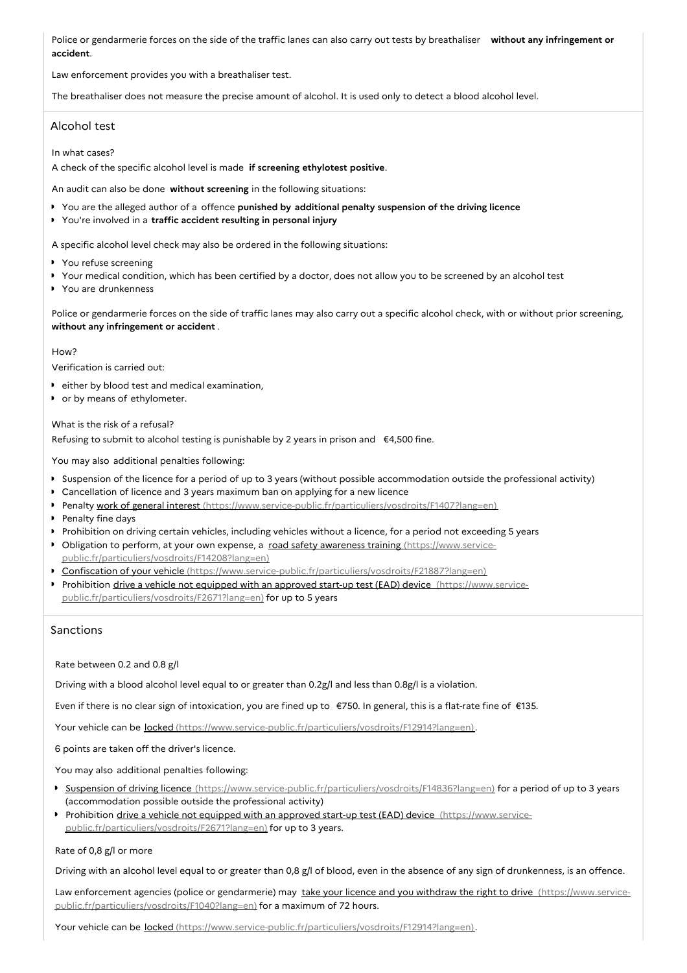Police or gendarmerie forces on the side of the traffic lanes can also carry out tests by breathaliser **without any infringement or accident**.

Law enforcement provides you with a breathaliser test.

The breathaliser does not measure the precise amount of alcohol. It is used only to detect a blood alcohol level.

# Alcohol test

In what cases?

A check of the specific alcohol level is made **if screening ethylotest positive**.

An audit can also be done **without screening** in the following situations:

- You are the alleged author of a offence **punished by additional penalty suspension of the driving licence**
- You're involved in a **traffic accident resulting in personal injury**

A specific alcohol level check may also be ordered in the following situations:

- ▶ You refuse screening
- Your medical condition, which has been certified by a doctor, does not allow you to be screened by an alcohol test
- You are drunkenness

Police or gendarmerie forces on the side of traffic lanes may also carry out a specific alcohol check, with or without prior screening, **without any infringement or accident** .

#### $HOM<sup>2</sup>$

Verification is carried out:

- **P** either by blood test and medical examination,
- or by means of ethylometer.

What is the risk of a refusal?

Refusing to submit to alcohol testing is punishable by 2 years in prison and €4,500 fine.

You may also additional penalties following:

- Suspension of the licence for a period of up to 3 years (without possible accommodation outside the professional activity)
- Cancellation of licence and 3 years maximum ban on applying for a new licence
- Penalty work of general interest [\(https://www.service-public.fr/particuliers/vosdroits/F1407?lang=en\)](https://www.service-public.fr/particuliers/vosdroits/F1407?lang=en)
- Penalty fine days
- Prohibition on driving certain vehicles, including vehicles without a licence, for a period not exceeding 5 years
- Obligation to perform, at your own expense, a road safety awareness training (https://www.service[public.fr/particuliers/vosdroits/F14208?lang=en\)](https://www.service-public.fr/particuliers/vosdroits/F14208?lang=en)
- ▶ Confiscation of your vehicle [\(https://www.service-public.fr/particuliers/vosdroits/F21887?lang=en\)](https://www.service-public.fr/particuliers/vosdroits/F21887?lang=en)
- Prohibition drive a vehicle not equipped with an approved start-up test (EAD) device (https://www.service[public.fr/particuliers/vosdroits/F2671?lang=en\)](https://www.service-public.fr/particuliers/vosdroits/F2671?lang=en) for up to 5 years

# Sanctions

Rate between 0.2 and 0.8 g/l

Driving with a blood alcohol level equal to or greater than 0.2g/l and less than 0.8g/l is a violation.

Even if there is no clear sign of intoxication, you are fined up to €750. In general, this is a flat-rate fine of €135.

Your vehicle can be locked [\(https://www.service-public.fr/particuliers/vosdroits/F12914?lang=en\)](https://www.service-public.fr/particuliers/vosdroits/F12914?lang=en).

6 points are taken off the driver's licence.

You may also additional penalties following:

- ▶ Suspension of driving licence [\(https://www.service-public.fr/particuliers/vosdroits/F14836?lang=en\)](https://www.service-public.fr/particuliers/vosdroits/F14836?lang=en) for a period of up to 3 years (accommodation possible outside the professional activity)
- Prohibition drive a vehicle not equipped with an approved start-up test (EAD) device (https://www.service[public.fr/particuliers/vosdroits/F2671?lang=en\)](https://www.service-public.fr/particuliers/vosdroits/F2671?lang=en) for up to 3 years.

#### Rate of 0,8 g/l or more

Driving with an alcohol level equal to or greater than 0,8 g/l of blood, even in the absence of any sign of drunkenness, is an offence.

Law enforcement agencies (police or gendarmerie) may take your licence and you withdraw the right to drive (https://www.service[public.fr/particuliers/vosdroits/F1040?lang=en\)](https://www.service-public.fr/particuliers/vosdroits/F1040?lang=en) for a maximum of 72 hours.

Your vehicle can be <u>locked [\(https://www.service-public.fr/particuliers/vosdroits/F12914?lang=en\)](https://www.service-public.fr/particuliers/vosdroits/F12914?lang=en)</u>.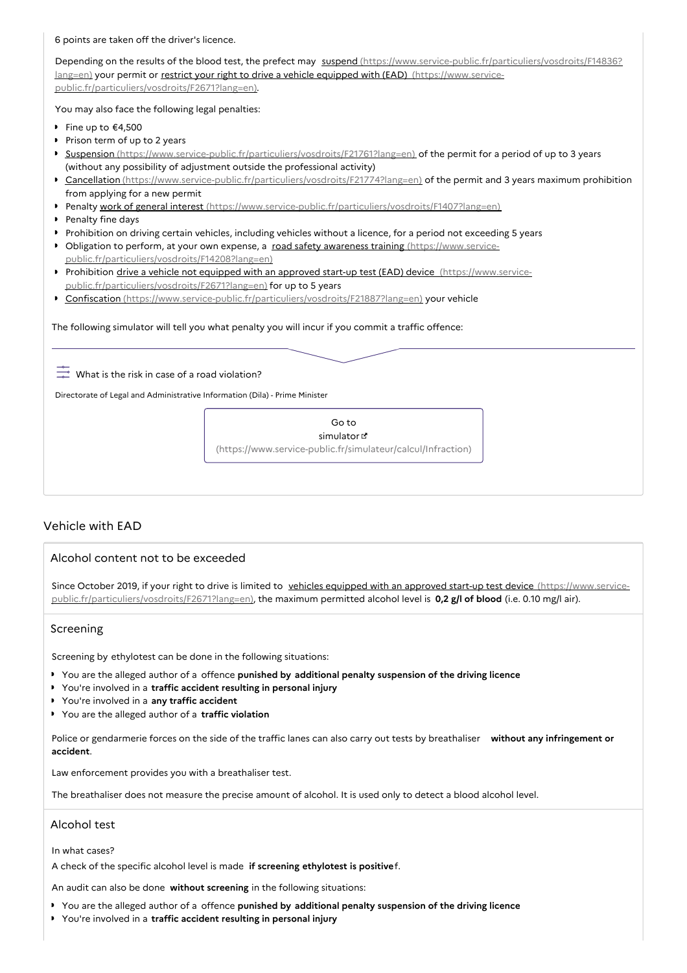6 points are taken off the driver's licence.

Depending on the results of the blood test, the prefect may suspend [\(https://www.service-public.fr/particuliers/vosdroits/F14836?](https://www.service-public.fr/particuliers/vosdroits/F14836?lang=en) lang=en) your permit or restrict your right to drive a vehicle equipped with (EAD) (https://www.service[public.fr/particuliers/vosdroits/F2671?lang=en\).](https://www.service-public.fr/particuliers/vosdroits/F2671?lang=en)

You may also face the following legal penalties:

- Fine up to  $€4,500$
- Prison term of up to 2 years
- Suspension [\(https://www.service-public.fr/particuliers/vosdroits/F21761?lang=en\)](https://www.service-public.fr/particuliers/vosdroits/F21761?lang=en) of the permit for a period of up to 3 years (without any possibility of adjustment outside the professional activity)
- ▶ Cancellation [\(https://www.service-public.fr/particuliers/vosdroits/F21774?lang=en\)](https://www.service-public.fr/particuliers/vosdroits/F21774?lang=en) of the permit and 3 years maximum prohibition from applying for a new permit
- Penalty work of general interest [\(https://www.service-public.fr/particuliers/vosdroits/F1407?lang=en\)](https://www.service-public.fr/particuliers/vosdroits/F1407?lang=en)
- Penalty fine days
- Prohibition on driving certain vehicles, including vehicles without a licence, for a period not exceeding 5 years
- Obligation to perform, at your own expense, a road safety awareness training (https://www.service[public.fr/particuliers/vosdroits/F14208?lang=en\)](https://www.service-public.fr/particuliers/vosdroits/F14208?lang=en)
- Prohibition drive a vehicle not equipped with an approved start-up test (EAD) device (https://www.service[public.fr/particuliers/vosdroits/F2671?lang=en\)](https://www.service-public.fr/particuliers/vosdroits/F2671?lang=en) for up to 5 years
- ▶ Confiscation [\(https://www.service-public.fr/particuliers/vosdroits/F21887?lang=en\)](https://www.service-public.fr/particuliers/vosdroits/F21887?lang=en) your vehicle

The following simulator will tell you what penalty you will incur if you commit a traffic offence:

 $\frac{1}{20}$  What is the risk in case of a road violation?

Directorate of Legal and Administrative Information (Dila) - Prime Minister

Go to simulator [\(https://www.service-public.fr/simulateur/calcul/Infraction\)](https://www.service-public.fr/simulateur/calcul/Infraction)

# Vehicle with EAD

## Alcohol content not to be exceeded

Since October 2019, if your right to drive is limited to vehicles equipped with an approved start-up test device (https://www.service[public.fr/particuliers/vosdroits/F2671?lang=en\),](https://www.service-public.fr/particuliers/vosdroits/F2671?lang=en) the maximum permitted alcohol level is **0,2 g/l of blood** (i.e. 0.10 mg/l air).

## Screening

Screening by ethylotest can be done in the following situations:

- You are the alleged author of a offence **punished by additional penalty suspension of the driving licence**
- You're involved in a **traffic accident resulting in personal injury**
- You're involved in a **any traffic accident**
- You are the alleged author of a **traffic violation**

Police or gendarmerie forces on the side of the traffic lanes can also carry out tests by breathaliser **without any infringement or accident**.

Law enforcement provides you with a breathaliser test.

The breathaliser does not measure the precise amount of alcohol. It is used only to detect a blood alcohol level.

# Alcohol test

In what cases?

A check of the specific alcohol level is made **if screening ethylotest is positive**f.

An audit can also be done **without screening** in the following situations:

- You are the alleged author of a offence **punished by additional penalty suspension of the driving licence**
- You're involved in a **traffic accident resulting in personal injury**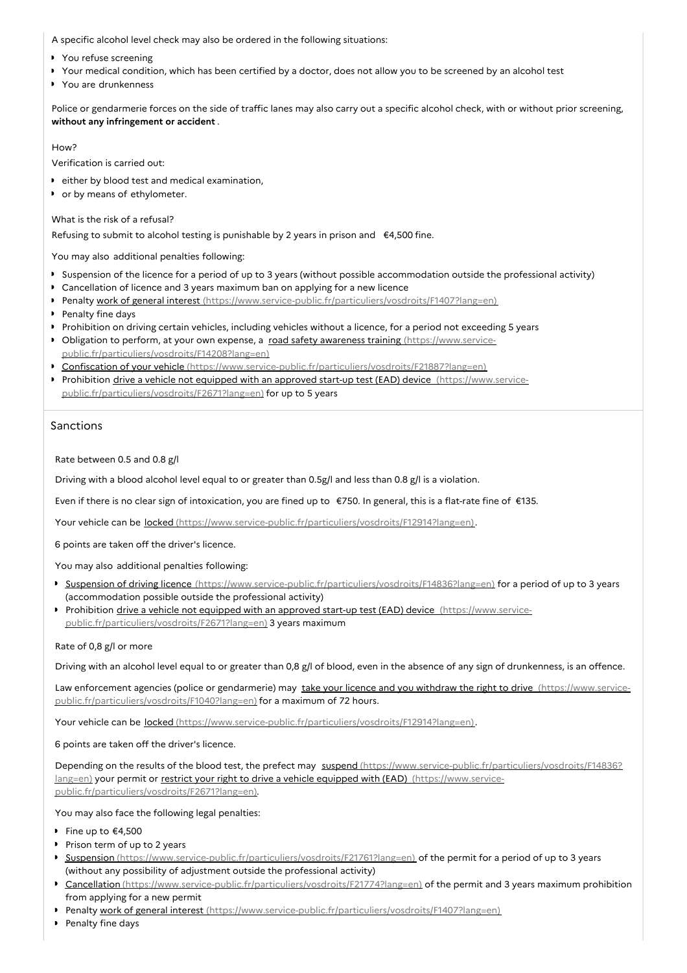A specific alcohol level check may also be ordered in the following situations:

- ▶ You refuse screening
- Your medical condition, which has been certified by a doctor, does not allow you to be screened by an alcohol test  $\bullet$
- ▶ You are drunkenness

Police or gendarmerie forces on the side of traffic lanes may also carry out a specific alcohol check, with or without prior screening, **without any infringement or accident** .

#### How?

Verification is carried out:

- either by blood test and medical examination,
- or by means of ethylometer.

## What is the risk of a refusal?

Refusing to submit to alcohol testing is punishable by 2 years in prison and €4,500 fine.

You may also additional penalties following:

- Suspension of the licence for a period of up to 3 years (without possible accommodation outside the professional activity)
- Cancellation of licence and 3 years maximum ban on applying for a new licence
- Penalty work of general interest [\(https://www.service-public.fr/particuliers/vosdroits/F1407?lang=en\)](https://www.service-public.fr/particuliers/vosdroits/F1407?lang=en)
- Penalty fine days
- Prohibition on driving certain vehicles, including vehicles without a licence, for a period not exceeding 5 years
- Obligation to perform, at your own expense, a road safety awareness training (https://www.service[public.fr/particuliers/vosdroits/F14208?lang=en\)](https://www.service-public.fr/particuliers/vosdroits/F14208?lang=en)
- ▶ Confiscation of your vehicle [\(https://www.service-public.fr/particuliers/vosdroits/F21887?lang=en\)](https://www.service-public.fr/particuliers/vosdroits/F21887?lang=en)
- Prohibition drive a vehicle not equipped with an approved start-up test (EAD) device (https://www.service[public.fr/particuliers/vosdroits/F2671?lang=en\)](https://www.service-public.fr/particuliers/vosdroits/F2671?lang=en) for up to 5 years

# Sanctions

Rate between 0.5 and 0.8 g/l

Driving with a blood alcohol level equal to or greater than 0.5g/l and less than 0.8 g/l is a violation.

Even if there is no clear sign of intoxication, you are fined up to €750. In general, this is a flat-rate fine of €135.

Your vehicle can be locked [\(https://www.service-public.fr/particuliers/vosdroits/F12914?lang=en\)](https://www.service-public.fr/particuliers/vosdroits/F12914?lang=en).

6 points are taken off the driver's licence.

You may also additional penalties following:

- Suspension of driving licence [\(https://www.service-public.fr/particuliers/vosdroits/F14836?lang=en\)](https://www.service-public.fr/particuliers/vosdroits/F14836?lang=en) for a period of up to 3 years (accommodation possible outside the professional activity)
- Prohibition drive a vehicle not equipped with an approved start-up test (EAD) device (https://www.service[public.fr/particuliers/vosdroits/F2671?lang=en\)](https://www.service-public.fr/particuliers/vosdroits/F2671?lang=en) 3 years maximum

#### Rate of 0,8 g/l or more

Driving with an alcohol level equal to or greater than 0,8 g/l of blood, even in the absence of any sign of drunkenness, is an offence.

Law enforcement agencies (police or gendarmerie) may take your licence and you withdraw the right to drive (https://www.service[public.fr/particuliers/vosdroits/F1040?lang=en\)](https://www.service-public.fr/particuliers/vosdroits/F1040?lang=en) for a maximum of 72 hours.

Your vehicle can be locked [\(https://www.service-public.fr/particuliers/vosdroits/F12914?lang=en\)](https://www.service-public.fr/particuliers/vosdroits/F12914?lang=en).

6 points are taken off the driver's licence.

Depending on the results of the blood test, the prefect may suspend [\(https://www.service-public.fr/particuliers/vosdroits/F14836?](https://www.service-public.fr/particuliers/vosdroits/F14836?lang=en) lang=en) your permit or restrict your right to drive a vehicle equipped with (EAD) (https://www.service[public.fr/particuliers/vosdroits/F2671?lang=en\).](https://www.service-public.fr/particuliers/vosdroits/F2671?lang=en)

You may also face the following legal penalties:

- Fine up to  $€4,500$
- Prison term of up to 2 years
- ▶ Suspension [\(https://www.service-public.fr/particuliers/vosdroits/F21761?lang=en\)](https://www.service-public.fr/particuliers/vosdroits/F21761?lang=en) of the permit for a period of up to 3 years (without any possibility of adjustment outside the professional activity)
- ▶ Cancellation [\(https://www.service-public.fr/particuliers/vosdroits/F21774?lang=en\)](https://www.service-public.fr/particuliers/vosdroits/F21774?lang=en) of the permit and 3 years maximum prohibition from applying for a new permit
- Penalty work of general interest [\(https://www.service-public.fr/particuliers/vosdroits/F1407?lang=en\)](https://www.service-public.fr/particuliers/vosdroits/F1407?lang=en)
- Penalty fine days